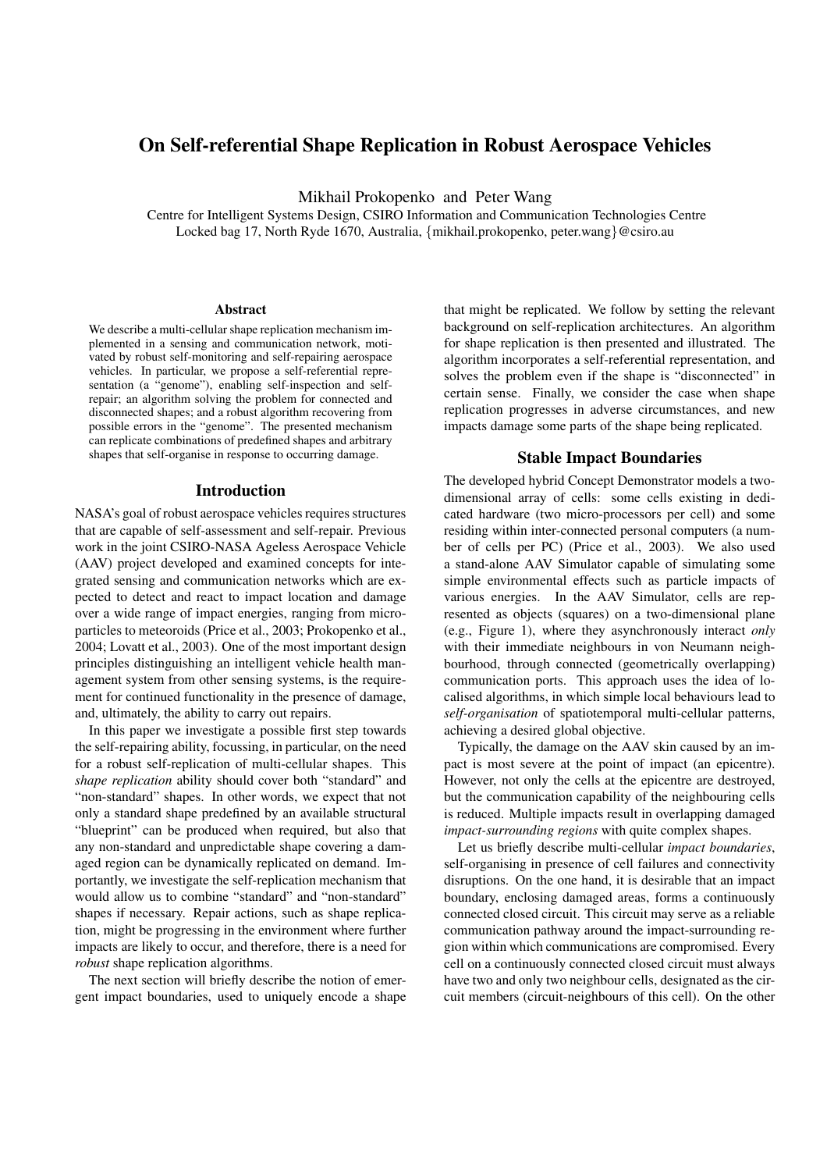# **On Self-referential Shape Replication in Robust Aerospace Vehicles**

Mikhail Prokopenko and Peter Wang

Centre for Intelligent Systems Design, CSIRO Information and Communication Technologies Centre Locked bag 17, North Ryde 1670, Australia, {mikhail.prokopenko, peter.wang}@csiro.au

#### **Abstract**

We describe a multi-cellular shape replication mechanism implemented in a sensing and communication network, motivated by robust self-monitoring and self-repairing aerospace vehicles. In particular, we propose a self-referential representation (a "genome"), enabling self-inspection and selfrepair; an algorithm solving the problem for connected and disconnected shapes; and a robust algorithm recovering from possible errors in the "genome". The presented mechanism can replicate combinations of predefined shapes and arbitrary shapes that self-organise in response to occurring damage.

#### **Introduction**

NASA's goal of robust aerospace vehicles requires structures that are capable of self-assessment and self-repair. Previous work in the joint CSIRO-NASA Ageless Aerospace Vehicle (AAV) project developed and examined concepts for integrated sensing and communication networks which are expected to detect and react to impact location and damage over a wide range of impact energies, ranging from microparticles to meteoroids (Price et al., 2003; Prokopenko et al., 2004; Lovatt et al., 2003). One of the most important design principles distinguishing an intelligent vehicle health management system from other sensing systems, is the requirement for continued functionality in the presence of damage, and, ultimately, the ability to carry out repairs.

In this paper we investigate a possible first step towards the self-repairing ability, focussing, in particular, on the need for a robust self-replication of multi-cellular shapes. This *shape replication* ability should cover both "standard" and "non-standard" shapes. In other words, we expect that not only a standard shape predefined by an available structural "blueprint" can be produced when required, but also that any non-standard and unpredictable shape covering a damaged region can be dynamically replicated on demand. Importantly, we investigate the self-replication mechanism that would allow us to combine "standard" and "non-standard" shapes if necessary. Repair actions, such as shape replication, might be progressing in the environment where further impacts are likely to occur, and therefore, there is a need for *robust* shape replication algorithms.

The next section will briefly describe the notion of emergent impact boundaries, used to uniquely encode a shape that might be replicated. We follow by setting the relevant background on self-replication architectures. An algorithm for shape replication is then presented and illustrated. The algorithm incorporates a self-referential representation, and solves the problem even if the shape is "disconnected" in certain sense. Finally, we consider the case when shape replication progresses in adverse circumstances, and new impacts damage some parts of the shape being replicated.

### **Stable Impact Boundaries**

The developed hybrid Concept Demonstrator models a twodimensional array of cells: some cells existing in dedicated hardware (two micro-processors per cell) and some residing within inter-connected personal computers (a number of cells per PC) (Price et al., 2003). We also used a stand-alone AAV Simulator capable of simulating some simple environmental effects such as particle impacts of various energies. In the AAV Simulator, cells are represented as objects (squares) on a two-dimensional plane (e.g., Figure 1), where they asynchronously interact *only* with their immediate neighbours in von Neumann neighbourhood, through connected (geometrically overlapping) communication ports. This approach uses the idea of localised algorithms, in which simple local behaviours lead to *self-organisation* of spatiotemporal multi-cellular patterns, achieving a desired global objective.

Typically, the damage on the AAV skin caused by an impact is most severe at the point of impact (an epicentre). However, not only the cells at the epicentre are destroyed, but the communication capability of the neighbouring cells is reduced. Multiple impacts result in overlapping damaged *impact-surrounding regions* with quite complex shapes.

Let us briefly describe multi-cellular *impact boundaries*, self-organising in presence of cell failures and connectivity disruptions. On the one hand, it is desirable that an impact boundary, enclosing damaged areas, forms a continuously connected closed circuit. This circuit may serve as a reliable communication pathway around the impact-surrounding region within which communications are compromised. Every cell on a continuously connected closed circuit must always have two and only two neighbour cells, designated as the circuit members (circuit-neighbours of this cell). On the other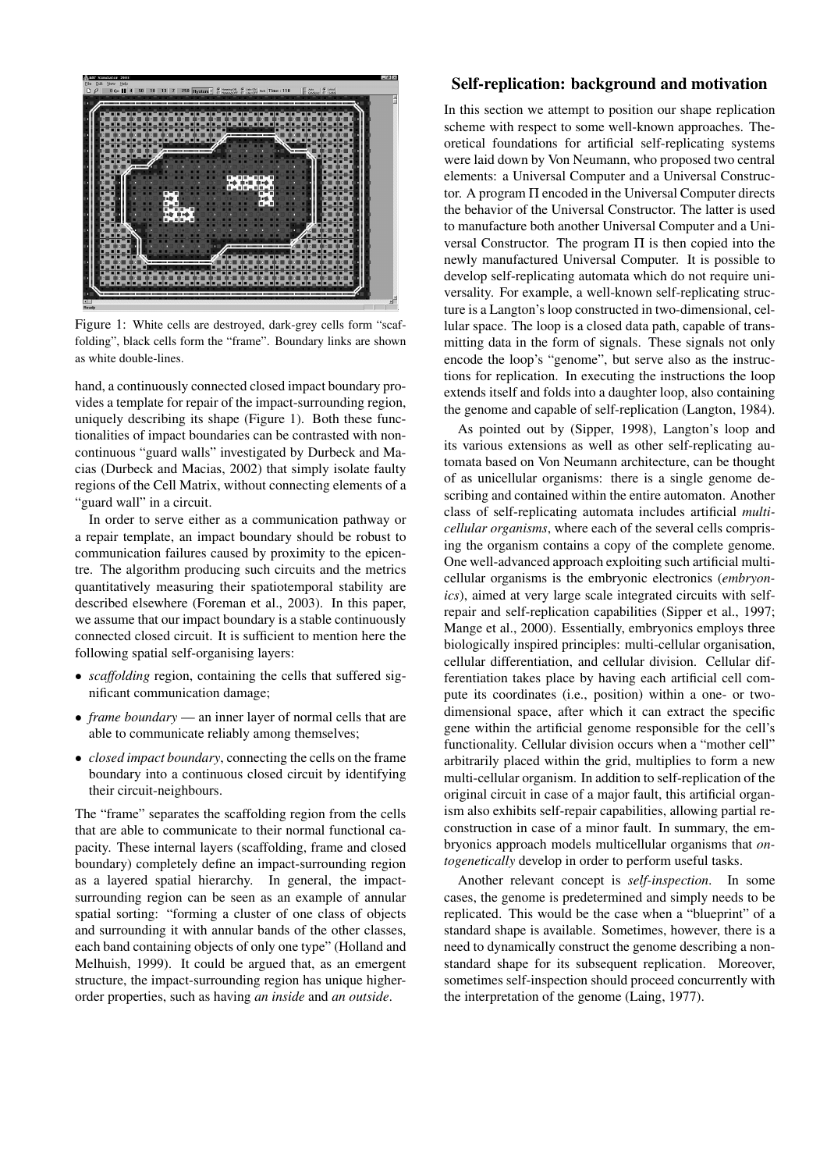

Figure 1: White cells are destroyed, dark-grey cells form "scaffolding", black cells form the "frame". Boundary links are shown as white double-lines.

hand, a continuously connected closed impact boundary provides a template for repair of the impact-surrounding region, uniquely describing its shape (Figure 1). Both these functionalities of impact boundaries can be contrasted with noncontinuous "guard walls" investigated by Durbeck and Macias (Durbeck and Macias, 2002) that simply isolate faulty regions of the Cell Matrix, without connecting elements of a "guard wall" in a circuit.

In order to serve either as a communication pathway or a repair template, an impact boundary should be robust to communication failures caused by proximity to the epicentre. The algorithm producing such circuits and the metrics quantitatively measuring their spatiotemporal stability are described elsewhere (Foreman et al., 2003). In this paper, we assume that our impact boundary is a stable continuously connected closed circuit. It is sufficient to mention here the following spatial self-organising layers:

- *scaffolding* region, containing the cells that suffered significant communication damage;
- *frame boundary* an inner layer of normal cells that are able to communicate reliably among themselves;
- *closed impact boundary*, connecting the cells on the frame boundary into a continuous closed circuit by identifying their circuit-neighbours.

The "frame" separates the scaffolding region from the cells that are able to communicate to their normal functional capacity. These internal layers (scaffolding, frame and closed boundary) completely define an impact-surrounding region as a layered spatial hierarchy. In general, the impactsurrounding region can be seen as an example of annular spatial sorting: "forming a cluster of one class of objects and surrounding it with annular bands of the other classes, each band containing objects of only one type" (Holland and Melhuish, 1999). It could be argued that, as an emergent structure, the impact-surrounding region has unique higherorder properties, such as having *an inside* and *an outside*.

## **Self-replication: background and motivation**

In this section we attempt to position our shape replication scheme with respect to some well-known approaches. Theoretical foundations for artificial self-replicating systems were laid down by Von Neumann, who proposed two central elements: a Universal Computer and a Universal Constructor. A program Π encoded in the Universal Computer directs the behavior of the Universal Constructor. The latter is used to manufacture both another Universal Computer and a Universal Constructor. The program  $\Pi$  is then copied into the newly manufactured Universal Computer. It is possible to develop self-replicating automata which do not require universality. For example, a well-known self-replicating structure is a Langton's loop constructed in two-dimensional, cellular space. The loop is a closed data path, capable of transmitting data in the form of signals. These signals not only encode the loop's "genome", but serve also as the instructions for replication. In executing the instructions the loop extends itself and folds into a daughter loop, also containing the genome and capable of self-replication (Langton, 1984).

As pointed out by (Sipper, 1998), Langton's loop and its various extensions as well as other self-replicating automata based on Von Neumann architecture, can be thought of as unicellular organisms: there is a single genome describing and contained within the entire automaton. Another class of self-replicating automata includes artificial *multicellular organisms*, where each of the several cells comprising the organism contains a copy of the complete genome. One well-advanced approach exploiting such artificial multicellular organisms is the embryonic electronics (*embryonics*), aimed at very large scale integrated circuits with selfrepair and self-replication capabilities (Sipper et al., 1997; Mange et al., 2000). Essentially, embryonics employs three biologically inspired principles: multi-cellular organisation, cellular differentiation, and cellular division. Cellular differentiation takes place by having each artificial cell compute its coordinates (i.e., position) within a one- or twodimensional space, after which it can extract the specific gene within the artificial genome responsible for the cell's functionality. Cellular division occurs when a "mother cell" arbitrarily placed within the grid, multiplies to form a new multi-cellular organism. In addition to self-replication of the original circuit in case of a major fault, this artificial organism also exhibits self-repair capabilities, allowing partial reconstruction in case of a minor fault. In summary, the embryonics approach models multicellular organisms that *ontogenetically* develop in order to perform useful tasks.

Another relevant concept is *self-inspection*. In some cases, the genome is predetermined and simply needs to be replicated. This would be the case when a "blueprint" of a standard shape is available. Sometimes, however, there is a need to dynamically construct the genome describing a nonstandard shape for its subsequent replication. Moreover, sometimes self-inspection should proceed concurrently with the interpretation of the genome (Laing, 1977).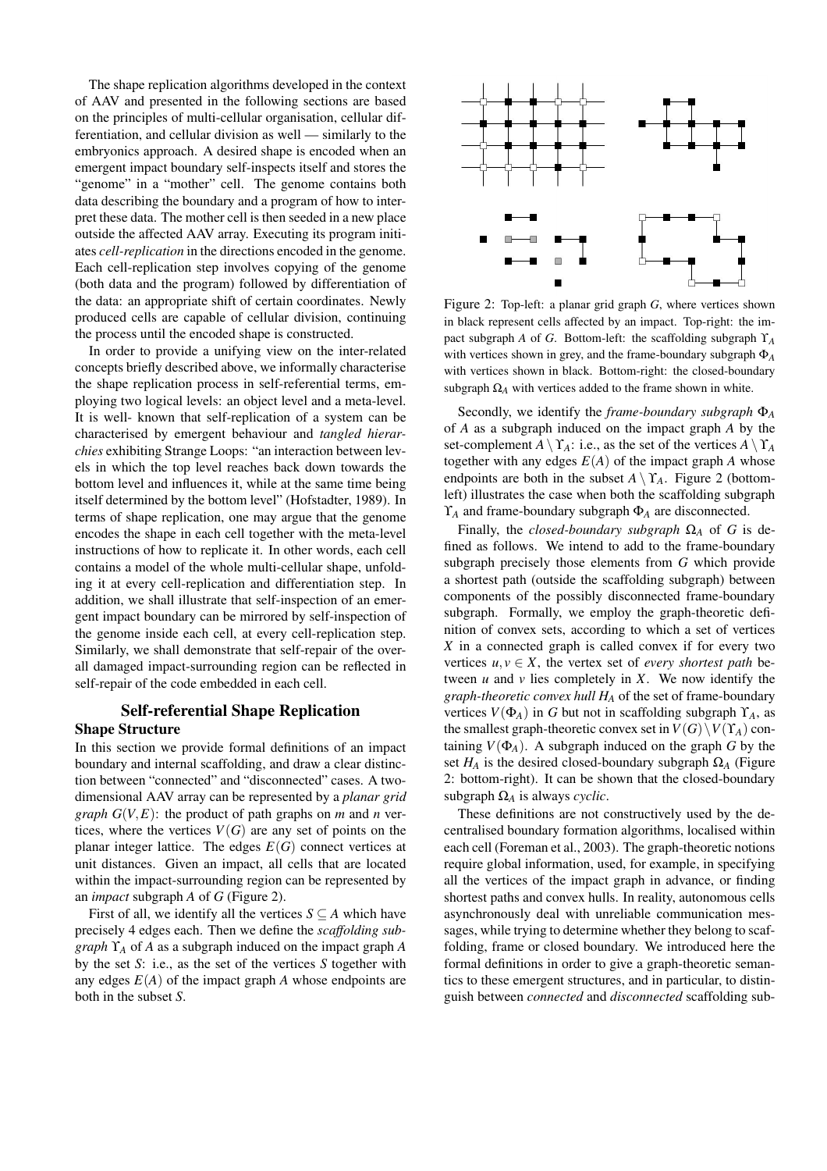The shape replication algorithms developed in the context of AAV and presented in the following sections are based on the principles of multi-cellular organisation, cellular differentiation, and cellular division as well — similarly to the embryonics approach. A desired shape is encoded when an emergent impact boundary self-inspects itself and stores the "genome" in a "mother" cell. The genome contains both data describing the boundary and a program of how to interpret these data. The mother cell is then seeded in a new place outside the affected AAV array. Executing its program initiates *cell-replication* in the directions encoded in the genome. Each cell-replication step involves copying of the genome (both data and the program) followed by differentiation of the data: an appropriate shift of certain coordinates. Newly produced cells are capable of cellular division, continuing the process until the encoded shape is constructed.

In order to provide a unifying view on the inter-related concepts briefly described above, we informally characterise the shape replication process in self-referential terms, employing two logical levels: an object level and a meta-level. It is well- known that self-replication of a system can be characterised by emergent behaviour and *tangled hierarchies* exhibiting Strange Loops: "an interaction between levels in which the top level reaches back down towards the bottom level and influences it, while at the same time being itself determined by the bottom level" (Hofstadter, 1989). In terms of shape replication, one may argue that the genome encodes the shape in each cell together with the meta-level instructions of how to replicate it. In other words, each cell contains a model of the whole multi-cellular shape, unfolding it at every cell-replication and differentiation step. In addition, we shall illustrate that self-inspection of an emergent impact boundary can be mirrored by self-inspection of the genome inside each cell, at every cell-replication step. Similarly, we shall demonstrate that self-repair of the overall damaged impact-surrounding region can be reflected in self-repair of the code embedded in each cell.

# **Self-referential Shape Replication**

## **Shape Structure**

In this section we provide formal definitions of an impact boundary and internal scaffolding, and draw a clear distinction between "connected" and "disconnected" cases. A twodimensional AAV array can be represented by a *planar grid graph*  $G(V, E)$ : the product of path graphs on *m* and *n* vertices, where the vertices  $V(G)$  are any set of points on the planar integer lattice. The edges  $E(G)$  connect vertices at unit distances. Given an impact, all cells that are located within the impact-surrounding region can be represented by an *impact* subgraph *A* of *G* (Figure 2).

First of all, we identify all the vertices  $S \subseteq A$  which have precisely 4 edges each. Then we define the *scaffolding subgraph* ϒ*<sup>A</sup>* of *A* as a subgraph induced on the impact graph *A* by the set *S*: i.e., as the set of the vertices *S* together with any edges  $E(A)$  of the impact graph *A* whose endpoints are both in the subset *S*.



Figure 2: Top-left: a planar grid graph *G*, where vertices shown in black represent cells affected by an impact. Top-right: the impact subgraph *A* of *G*. Bottom-left: the scaffolding subgraph  $\Upsilon_A$ with vertices shown in grey, and the frame-boundary subgraph Φ*<sup>A</sup>* with vertices shown in black. Bottom-right: the closed-boundary subgraph  $\Omega_A$  with vertices added to the frame shown in white.

Secondly, we identify the *frame-boundary subgraph* Φ*<sup>A</sup>* of *A* as a subgraph induced on the impact graph *A* by the set-complement *A* \  $\Upsilon_A$ : i.e., as the set of the vertices *A* \  $\Upsilon_A$ together with any edges  $E(A)$  of the impact graph  $A$  whose endpoints are both in the subset  $A \setminus \Upsilon_A$ . Figure 2 (bottomleft) illustrates the case when both the scaffolding subgraph ϒ*<sup>A</sup>* and frame-boundary subgraph Φ*<sup>A</sup>* are disconnected.

Finally, the *closed-boundary subgraph*  $\Omega_A$  of *G* is defined as follows. We intend to add to the frame-boundary subgraph precisely those elements from *G* which provide a shortest path (outside the scaffolding subgraph) between components of the possibly disconnected frame-boundary subgraph. Formally, we employ the graph-theoretic definition of convex sets, according to which a set of vertices *X* in a connected graph is called convex if for every two vertices  $u, v \in X$ , the vertex set of *every shortest* path between  $u$  and  $v$  lies completely in  $X$ . We now identify the *graph-theoretic convex hull H<sup>A</sup>* of the set of frame-boundary vertices  $V(\Phi_A)$  in *G* but not in scaffolding subgraph  $\Upsilon_A$ , as the smallest graph-theoretic convex set in  $V(G) \setminus V(\Upsilon_A)$  containing  $V(\Phi_A)$ . A subgraph induced on the graph *G* by the set  $H_A$  is the desired closed-boundary subgraph  $\Omega_A$  (Figure 2: bottom-right). It can be shown that the closed-boundary subgraph  $Ω<sub>A</sub>$  is always *cyclic*.

These definitions are not constructively used by the decentralised boundary formation algorithms, localised within each cell (Foreman et al., 2003). The graph-theoretic notions require global information, used, for example, in specifying all the vertices of the impact graph in advance, or finding shortest paths and convex hulls. In reality, autonomous cells asynchronously deal with unreliable communication messages, while trying to determine whether they belong to scaffolding, frame or closed boundary. We introduced here the formal definitions in order to give a graph-theoretic semantics to these emergent structures, and in particular, to distinguish between *connected* and *disconnected* scaffolding sub-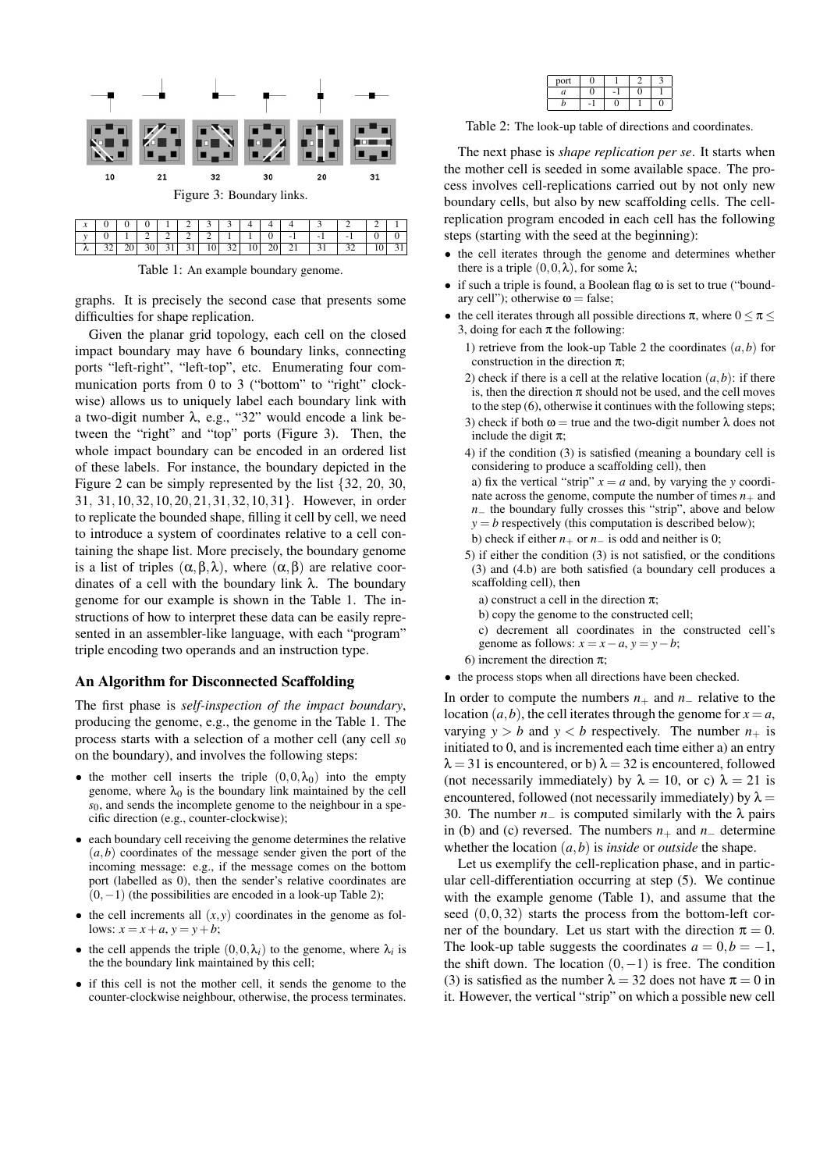

λ 32 20 30 31 31 10 32 10 20 21 31 32 10 31

Table 1: An example boundary genome.

graphs. It is precisely the second case that presents some difficulties for shape replication.

Given the planar grid topology, each cell on the closed impact boundary may have 6 boundary links, connecting ports "left-right", "left-top", etc. Enumerating four communication ports from 0 to 3 ("bottom" to "right" clockwise) allows us to uniquely label each boundary link with a two-digit number λ, e.g., "32" would encode a link between the "right" and "top" ports (Figure 3). Then, the whole impact boundary can be encoded in an ordered list of these labels. For instance, the boundary depicted in the Figure 2 can be simply represented by the list {32, 20, 30, 31, 31,10,32,10,20,21,31,32,10,31}. However, in order to replicate the bounded shape, filling it cell by cell, we need to introduce a system of coordinates relative to a cell containing the shape list. More precisely, the boundary genome is a list of triples  $(\alpha, \beta, \lambda)$ , where  $(\alpha, \beta)$  are relative coordinates of a cell with the boundary link λ. The boundary genome for our example is shown in the Table 1. The instructions of how to interpret these data can be easily represented in an assembler-like language, with each "program" triple encoding two operands and an instruction type.

## **An Algorithm for Disconnected Scaffolding**

The first phase is *self-inspection of the impact boundary*, producing the genome, e.g., the genome in the Table 1. The process starts with a selection of a mother cell (any cell *s*<sup>0</sup> on the boundary), and involves the following steps:

- the mother cell inserts the triple  $(0,0,\lambda_0)$  into the empty genome, where  $\lambda_0$  is the boundary link maintained by the cell  $s<sub>0</sub>$ , and sends the incomplete genome to the neighbour in a specific direction (e.g., counter-clockwise);
- each boundary cell receiving the genome determines the relative (*a*,*b*) coordinates of the message sender given the port of the incoming message: e.g., if the message comes on the bottom port (labelled as 0), then the sender's relative coordinates are  $(0,-1)$  (the possibilities are encoded in a look-up Table 2);
- the cell increments all  $(x, y)$  coordinates in the genome as follows:  $x = x + a$ ,  $y = y + b$ ;
- the cell appends the triple  $(0,0,\lambda_i)$  to the genome, where  $\lambda_i$  is the the boundary link maintained by this cell;
- if this cell is not the mother cell, it sends the genome to the counter-clockwise neighbour, otherwise, the process terminates.

| port |  |  |
|------|--|--|
|      |  |  |
|      |  |  |

Table 2: The look-up table of directions and coordinates.

The next phase is *shape replication per se*. It starts when the mother cell is seeded in some available space. The process involves cell-replications carried out by not only new boundary cells, but also by new scaffolding cells. The cellreplication program encoded in each cell has the following steps (starting with the seed at the beginning):

- the cell iterates through the genome and determines whether there is a triple  $(0,0,\lambda)$ , for some  $\lambda$ ;
- if such a triple is found, a Boolean flag  $\omega$  is set to true ("boundary cell"); otherwise  $\omega$  = false;
- the cell iterates through all possible directions  $\pi$ , where  $0 \leq \pi \leq$ 3, doing for each  $\pi$  the following:
	- 1) retrieve from the look-up Table 2 the coordinates (*a*,*b*) for construction in the direction  $\pi$ ;
	- 2) check if there is a cell at the relative location  $(a, b)$ : if there is, then the direction  $\pi$  should not be used, and the cell moves to the step (6), otherwise it continues with the following steps;
	- 3) check if both  $\omega$  = true and the two-digit number  $\lambda$  does not include the digit  $\pi$ ;
	- 4) if the condition (3) is satisfied (meaning a boundary cell is considering to produce a scaffolding cell), then
	- a) fix the vertical "strip"  $x = a$  and, by varying the *y* coordinate across the genome, compute the number of times  $n_{+}$  and *n*<sup>−</sup> the boundary fully crosses this "strip", above and below  $y = b$  respectively (this computation is described below);
	- b) check if either  $n_+$  or  $n_-$  is odd and neither is 0;
	- 5) if either the condition (3) is not satisfied, or the conditions (3) and (4.b) are both satisfied (a boundary cell produces a scaffolding cell), then
		- a) construct a cell in the direction  $\pi$ ;
		- b) copy the genome to the constructed cell;
		- c) decrement all coordinates in the constructed cell's genome as follows:  $x = x - a$ ,  $y = y - b$ ;
	- 6) increment the direction π;
- the process stops when all directions have been checked.

In order to compute the numbers  $n_+$  and  $n_-$  relative to the location  $(a, b)$ , the cell iterates through the genome for  $x = a$ , varying  $y > b$  and  $y < b$  respectively. The number  $n_+$  is initiated to 0, and is incremented each time either a) an entry  $\lambda = 31$  is encountered, or b)  $\lambda = 32$  is encountered, followed (not necessarily immediately) by  $\lambda = 10$ , or c)  $\lambda = 21$  is encountered, followed (not necessarily immediately) by  $\lambda =$ 30. The number  $n_$  is computed similarly with the  $\lambda$  pairs in (b) and (c) reversed. The numbers  $n_{+}$  and  $n_{-}$  determine whether the location (*a*,*b*) is *inside* or *outside* the shape.

Let us exemplify the cell-replication phase, and in particular cell-differentiation occurring at step (5). We continue with the example genome (Table 1), and assume that the seed  $(0,0,32)$  starts the process from the bottom-left corner of the boundary. Let us start with the direction  $\pi = 0$ . The look-up table suggests the coordinates  $a = 0, b = -1$ , the shift down. The location  $(0, -1)$  is free. The condition (3) is satisfied as the number  $\lambda = 32$  does not have  $\pi = 0$  in it. However, the vertical "strip" on which a possible new cell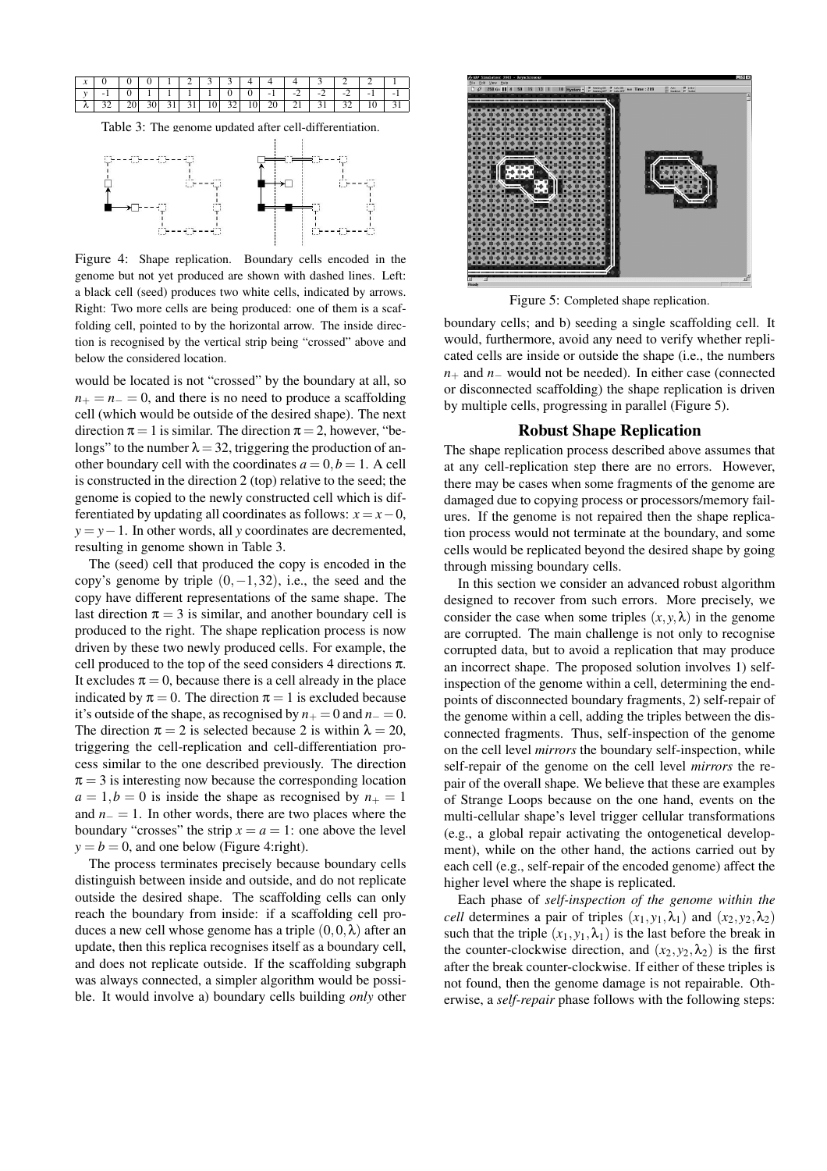

Table 3: The genome updated after cell-differentiation.



Figure 4: Shape replication. Boundary cells encoded in the genome but not yet produced are shown with dashed lines. Left: a black cell (seed) produces two white cells, indicated by arrows. Right: Two more cells are being produced: one of them is a scaffolding cell, pointed to by the horizontal arrow. The inside direction is recognised by the vertical strip being "crossed" above and below the considered location.

would be located is not "crossed" by the boundary at all, so  $n_+ = n_- = 0$ , and there is no need to produce a scaffolding cell (which would be outside of the desired shape). The next direction  $\pi = 1$  is similar. The direction  $\pi = 2$ , however, "belongs" to the number  $\lambda = 32$ , triggering the production of another boundary cell with the coordinates  $a = 0, b = 1$ . A cell is constructed in the direction 2 (top) relative to the seed; the genome is copied to the newly constructed cell which is differentiated by updating all coordinates as follows:  $x = x - 0$ , *y* = *y* − 1. In other words, all *y* coordinates are decremented, resulting in genome shown in Table 3.

The (seed) cell that produced the copy is encoded in the copy's genome by triple  $(0, -1, 32)$ , i.e., the seed and the copy have different representations of the same shape. The last direction  $\pi = 3$  is similar, and another boundary cell is produced to the right. The shape replication process is now driven by these two newly produced cells. For example, the cell produced to the top of the seed considers 4 directions  $\pi$ . It excludes  $\pi = 0$ , because there is a cell already in the place indicated by  $\pi = 0$ . The direction  $\pi = 1$  is excluded because it's outside of the shape, as recognised by  $n_{+} = 0$  and  $n_{-} = 0$ . The direction  $\pi = 2$  is selected because 2 is within  $\lambda = 20$ , triggering the cell-replication and cell-differentiation process similar to the one described previously. The direction  $\pi = 3$  is interesting now because the corresponding location  $a = 1, b = 0$  is inside the shape as recognised by  $n_{+} = 1$ and *n*<sup>−</sup> = 1. In other words, there are two places where the boundary "crosses" the strip  $x = a = 1$ : one above the level  $y = b = 0$ , and one below (Figure 4:right).

The process terminates precisely because boundary cells distinguish between inside and outside, and do not replicate outside the desired shape. The scaffolding cells can only reach the boundary from inside: if a scaffolding cell produces a new cell whose genome has a triple  $(0,0,\lambda)$  after an update, then this replica recognises itself as a boundary cell, and does not replicate outside. If the scaffolding subgraph was always connected, a simpler algorithm would be possible. It would involve a) boundary cells building *only* other



Figure 5: Completed shape replication.

boundary cells; and b) seeding a single scaffolding cell. It would, furthermore, avoid any need to verify whether replicated cells are inside or outside the shape (i.e., the numbers *n*<sup>+</sup> and *n*<sup>−</sup> would not be needed). In either case (connected or disconnected scaffolding) the shape replication is driven by multiple cells, progressing in parallel (Figure 5).

#### **Robust Shape Replication**

The shape replication process described above assumes that at any cell-replication step there are no errors. However, there may be cases when some fragments of the genome are damaged due to copying process or processors/memory failures. If the genome is not repaired then the shape replication process would not terminate at the boundary, and some cells would be replicated beyond the desired shape by going through missing boundary cells.

In this section we consider an advanced robust algorithm designed to recover from such errors. More precisely, we consider the case when some triples  $(x, y, \lambda)$  in the genome are corrupted. The main challenge is not only to recognise corrupted data, but to avoid a replication that may produce an incorrect shape. The proposed solution involves 1) selfinspection of the genome within a cell, determining the endpoints of disconnected boundary fragments, 2) self-repair of the genome within a cell, adding the triples between the disconnected fragments. Thus, self-inspection of the genome on the cell level *mirrors* the boundary self-inspection, while self-repair of the genome on the cell level *mirrors* the repair of the overall shape. We believe that these are examples of Strange Loops because on the one hand, events on the multi-cellular shape's level trigger cellular transformations (e.g., a global repair activating the ontogenetical development), while on the other hand, the actions carried out by each cell (e.g., self-repair of the encoded genome) affect the higher level where the shape is replicated.

Each phase of *self-inspection of the genome within the cell* determines a pair of triples  $(x_1, y_1, \lambda_1)$  and  $(x_2, y_2, \lambda_2)$ such that the triple  $(x_1, y_1, \lambda_1)$  is the last before the break in the counter-clockwise direction, and  $(x_2, y_2, \lambda_2)$  is the first after the break counter-clockwise. If either of these triples is not found, then the genome damage is not repairable. Otherwise, a *self-repair* phase follows with the following steps: